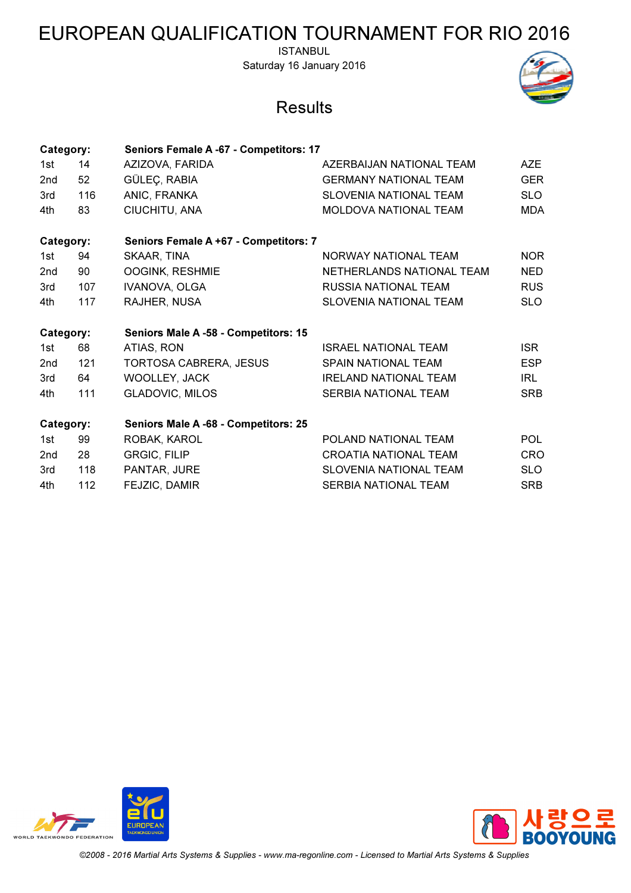ISTANBUL Saturday 16 January 2016

### **Results**



| Category:       |     | Seniors Female A -67 - Competitors: 17 |                               |            |
|-----------------|-----|----------------------------------------|-------------------------------|------------|
| 1st             | 14  | AZIZOVA, FARIDA                        | AZERBAIJAN NATIONAL TEAM      | AZE        |
| 2nd             | 52  | GÜLEÇ, RABIA                           | <b>GERMANY NATIONAL TEAM</b>  | <b>GER</b> |
| 3rd             | 116 | ANIC, FRANKA                           | <b>SLOVENIA NATIONAL TEAM</b> | <b>SLO</b> |
| 4th             | 83  | CIUCHITU, ANA                          | <b>MOLDOVA NATIONAL TEAM</b>  | <b>MDA</b> |
| Category:       |     | Seniors Female A +67 - Competitors: 7  |                               |            |
| 1st             | 94  | SKAAR, TINA                            | NORWAY NATIONAL TEAM          | <b>NOR</b> |
| 2 <sub>nd</sub> | 90  | OOGINK, RESHMIE                        | NETHERLANDS NATIONAL TEAM     | <b>NED</b> |
| 3rd             | 107 | IVANOVA, OLGA                          | <b>RUSSIA NATIONAL TEAM</b>   | <b>RUS</b> |
| 4th             | 117 | RAJHER, NUSA                           | <b>SLOVENIA NATIONAL TEAM</b> | <b>SLO</b> |
| Category:       |     |                                        |                               |            |
|                 |     | Seniors Male A -58 - Competitors: 15   |                               |            |
| 1st             | 68  | ATIAS, RON                             | <b>ISRAEL NATIONAL TEAM</b>   | <b>ISR</b> |
| 2 <sub>nd</sub> | 121 | <b>TORTOSA CABRERA, JESUS</b>          | SPAIN NATIONAL TEAM           | <b>ESP</b> |
| 3rd             | 64  | WOOLLEY, JACK                          | <b>IRELAND NATIONAL TEAM</b>  | IRL        |
| 4th             | 111 | <b>GLADOVIC, MILOS</b>                 | SERBIA NATIONAL TEAM          | <b>SRB</b> |
| Category:       |     | Seniors Male A -68 - Competitors: 25   |                               |            |
| 1st             | 99  | ROBAK, KAROL                           | POLAND NATIONAL TEAM          | <b>POL</b> |
| 2 <sub>nd</sub> | 28  | <b>GRGIC, FILIP</b>                    | <b>CROATIA NATIONAL TEAM</b>  | CRO        |
| 3rd             | 118 | PANTAR, JURE                           | <b>SLOVENIA NATIONAL TEAM</b> | <b>SLO</b> |



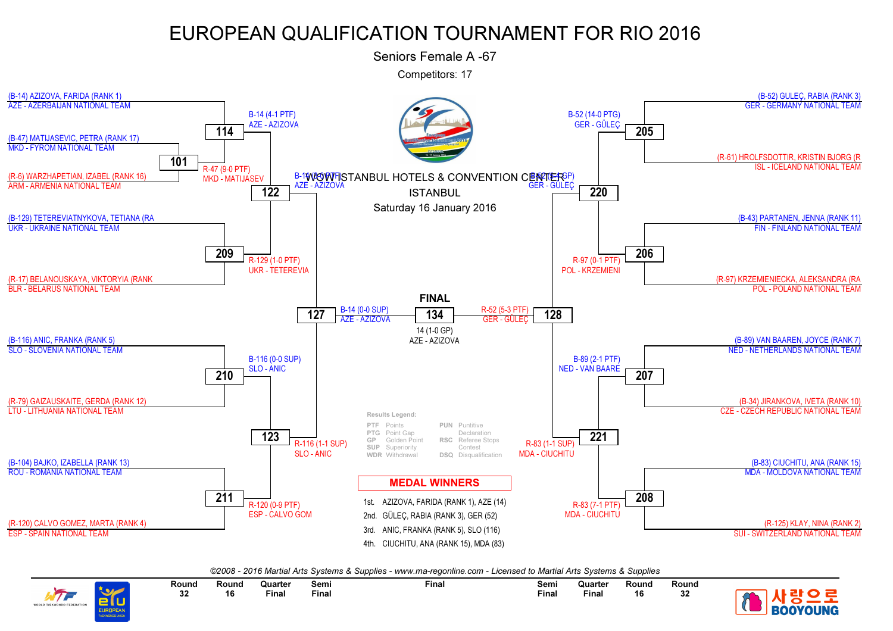Seniors Female A -67

Competitors: 17



©2008 - 2016 Martial Arts Systems & Supplies - www.ma-regonline.com - Licensed to Martial Arts Systems & Supplies

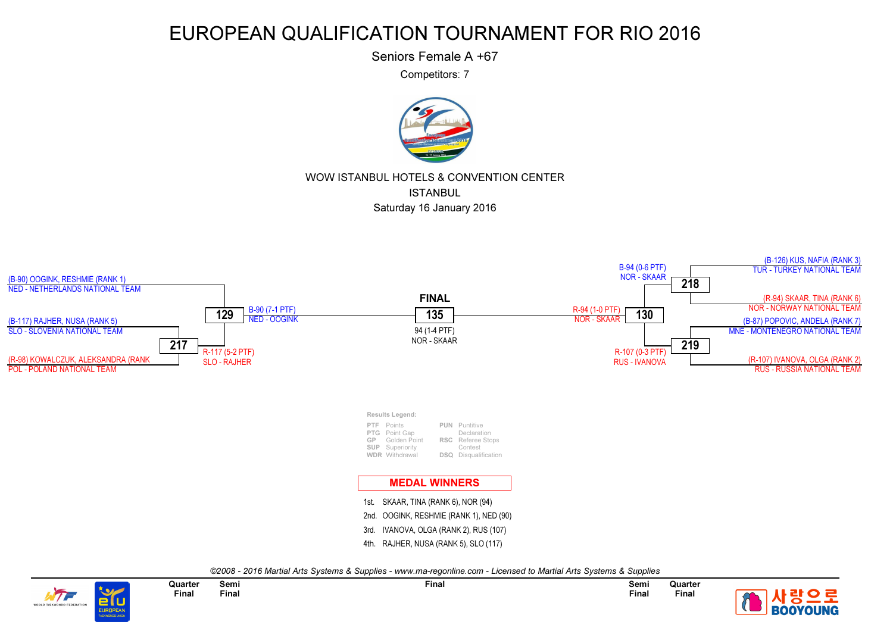Seniors Female A +67

Competitors: 7



#### WOW ISTANBUL HOTELS & CONVENTION CENTERISTANBULSaturday 16 January 2016



©2008 - 2016 Martial Arts Systems & Supplies - www.ma-regonline.com - Licensed to Martial Arts Systems & Supplies



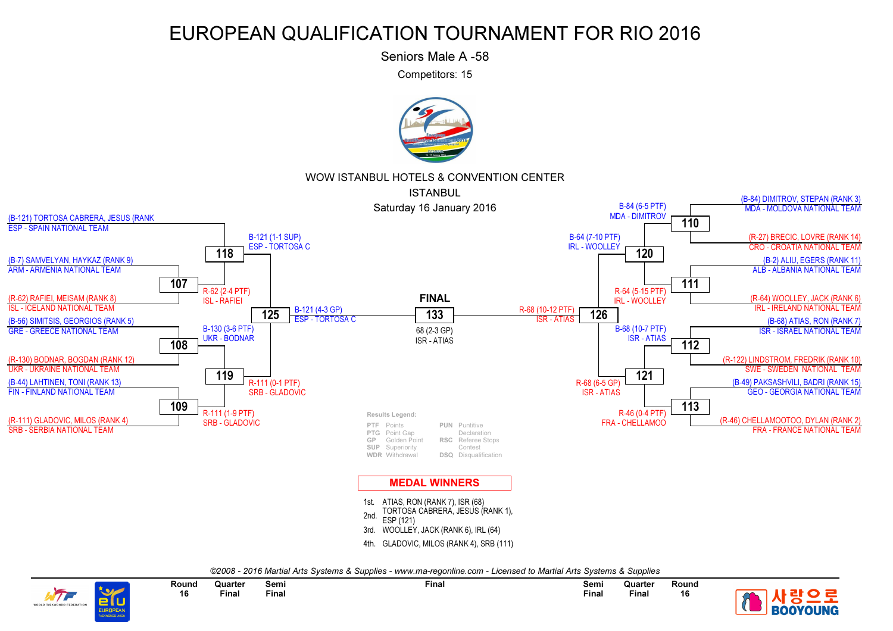Seniors Male A -58

Competitors: 15



#### WOW ISTANBUL HOTELS & CONVENTION CENTER



©2008 - 2016 Martial Arts Systems & Supplies - www.ma-regonline.com - Licensed to Martial Arts Systems & Supplies



Semi Final **Quarter** FinalRound 16